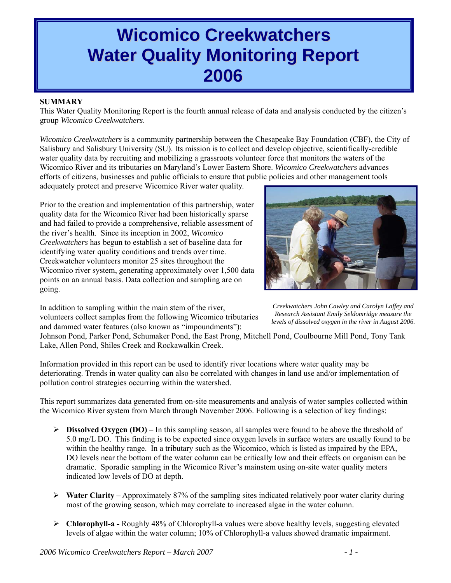# **Wicomico Creekwatchers Water Quality Monitoring Report 2006**

## **SUMMARY**

This Water Quality Monitoring Report is the fourth annual release of data and analysis conducted by the citizen's group *Wicomico Creekwatchers*.

*Wicomico Creekwatchers* is a community partnership between the Chesapeake Bay Foundation (CBF), the City of Salisbury and Salisbury University (SU). Its mission is to collect and develop objective, scientifically-credible water quality data by recruiting and mobilizing a grassroots volunteer force that monitors the waters of the Wicomico River and its tributaries on Maryland's Lower Eastern Shore. *Wicomico Creekwatchers* advances efforts of citizens, businesses and public officials to ensure that public policies and other management tools

adequately protect and preserve Wicomico River water quality.

Prior to the creation and implementation of this partnership, water quality data for the Wicomico River had been historically sparse and had failed to provide a comprehensive, reliable assessment of the river's health. Since its inception in 2002, *Wicomico Creekwatchers* has begun to establish a set of baseline data for identifying water quality conditions and trends over time. Creekwatcher volunteers monitor 25 sites throughout the Wicomico river system, generating approximately over 1,500 data points on an annual basis. Data collection and sampling are on going.

In addition to sampling within the main stem of the river, volunteers collect samples from the following Wicomico tributaries and dammed water features (also known as "impoundments"):



*Creekwatchers John Cawley and Carolyn Laffey and Research Assistant Emily Seldomridge measure the levels of dissolved oxygen in the river in August 2006.*

Johnson Pond, Parker Pond, Schumaker Pond, the East Prong, Mitchell Pond, Coulbourne Mill Pond, Tony Tank Lake, Allen Pond, Shiles Creek and Rockawalkin Creek.

Information provided in this report can be used to identify river locations where water quality may be deteriorating. Trends in water quality can also be correlated with changes in land use and/or implementation of pollution control strategies occurring within the watershed.

This report summarizes data generated from on-site measurements and analysis of water samples collected within the Wicomico River system from March through November 2006. Following is a selection of key findings:

- $\triangleright$  **Dissolved Oxygen (DO)** In this sampling season, all samples were found to be above the threshold of 5.0 mg/L DO. This finding is to be expected since oxygen levels in surface waters are usually found to be within the healthy range. In a tributary such as the Wicomico, which is listed as impaired by the EPA, DO levels near the bottom of the water column can be critically low and their effects on organism can be dramatic. Sporadic sampling in the Wicomico River's mainstem using on-site water quality meters indicated low levels of DO at depth.
- ¾ **Water Clarity**  Approximately 87% of the sampling sites indicated relatively poor water clarity during most of the growing season, which may correlate to increased algae in the water column.
- ¾ **Chlorophyll-a** Roughly 48% of Chlorophyll-a values were above healthy levels, suggesting elevated levels of algae within the water column; 10% of Chlorophyll-a values showed dramatic impairment.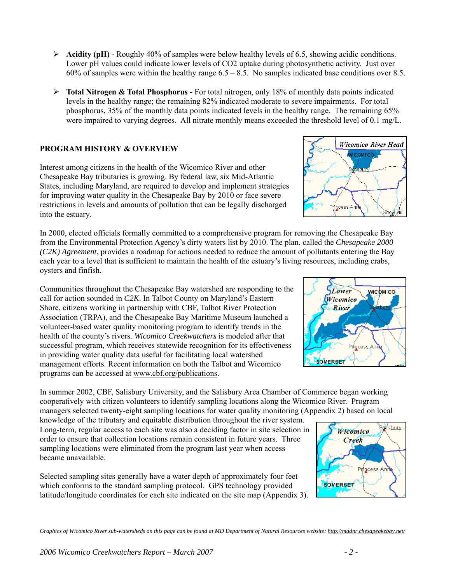- ¾ **Acidity (pH)** Roughly 40% of samples were below healthy levels of 6.5, showing acidic conditions. Lower pH values could indicate lower levels of CO2 uptake during photosynthetic activity. Just over 60% of samples were within the healthy range  $6.5 - 8.5$ . No samples indicated base conditions over 8.5.
- ¾ **Total Nitrogen & Total Phosphorus** For total nitrogen, only 18% of monthly data points indicated levels in the healthy range; the remaining 82% indicated moderate to severe impairments. For total phosphorus, 35% of the monthly data points indicated levels in the healthy range. The remaining 65% were impaired to varying degrees. All nitrate monthly means exceeded the threshold level of 0.1 mg/L.

# **PROGRAM HISTORY & OVERVIEW**

Interest among citizens in the health of the Wicomico River and other Chesapeake Bay tributaries is growing. By federal law, six Mid-Atlantic States, including Maryland, are required to develop and implement strategies for improving water quality in the Chesapeake Bay by 2010 or face severe restrictions in levels and amounts of pollution that can be legally discharged into the estuary.

In 2000, elected officials formally committed to a comprehensive program for removing the Chesapeake Bay from the Environmental Protection Agency's dirty waters list by 2010. The plan, called the *Chesapeake 2000 (C2K) Agreement*, provides a roadmap for actions needed to reduce the amount of pollutants entering the Bay each year to a level that is sufficient to maintain the health of the estuary's living resources, including crabs, oysters and finfish.

Communities throughout the Chesapeake Bay watershed are responding to the call for action sounded in *C2K*. In Talbot County on Maryland's Eastern Shore, citizens working in partnership with CBF, Talbot River Protection Association (TRPA), and the Chesapeake Bay Maritime Museum launched a volunteer-based water quality monitoring program to identify trends in the health of the county's rivers. *Wicomico Creekwatchers* is modeled after that successful program, which receives statewide recognition for its effectiveness in providing water quality data useful for facilitating local watershed management efforts. Recent information on both the Talbot and Wicomico programs can be accessed at [www.cbf.org/publications](http://www.cbf.org/publications).

In summer 2002, CBF, Salisbury University, and the Salisbury Area Chamber of Commerce began working cooperatively with citizen volunteers to identify sampling locations along the Wicomico River. Program managers selected twenty-eight sampling locations for water quality monitoring (Appendix 2) based on local

knowledge of the tributary and equitable distribution throughout the river system. Long-term, regular access to each site was also a deciding factor in site selection in order to ensure that collection locations remain consistent in future years. Three sampling locations were eliminated from the program last year when access became unavailable.

Selected sampling sites generally have a water depth of approximately four feet which conforms to the standard sampling protocol. GPS technology provided latitude/longitude coordinates for each site indicated on the site map (Appendix 3).

*Graphics of Wicomico River sub-watersheds on this page can be found at MD Department of Natural Resources website:<http://mddnr.chesapeakebay.net/>*





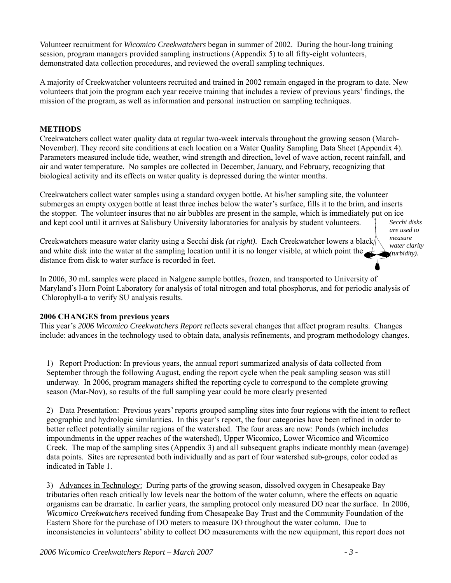Volunteer recruitment for *Wicomico Creekwatchers* began in summer of 2002. During the hour-long training session, program managers provided sampling instructions (Appendix 5) to all fifty-eight volunteers, demonstrated data collection procedures, and reviewed the overall sampling techniques.

A majority of Creekwatcher volunteers recruited and trained in 2002 remain engaged in the program to date. New volunteers that join the program each year receive training that includes a review of previous years' findings, the mission of the program, as well as information and personal instruction on sampling techniques.

# **METHODS**

Creekwatchers collect water quality data at regular two-week intervals throughout the growing season (March-November). They record site conditions at each location on a Water Quality Sampling Data Sheet (Appendix 4). Parameters measured include tide, weather, wind strength and direction, level of wave action, recent rainfall, and air and water temperature. No samples are collected in December, January, and February, recognizing that biological activity and its effects on water quality is depressed during the winter months.

Creekwatchers collect water samples using a standard oxygen bottle. At his/her sampling site, the volunteer submerges an empty oxygen bottle at least three inches below the water's surface, fills it to the brim, and inserts the stopper. The volunteer insures that no air bubbles are present in the sample, which is immediately put on ice and kept cool until it arrives at Salisbury University laboratories for analysis by student volunteers. *Secchi disks* 

Creekwatchers measure water clarity using a Secchi disk *(at right).* Each Creekwatcher lowers a black and white disk into the water at the sampling location until it is no longer visible, at which point the distance from disk to water surface is recorded in feet.

*are used to measure water clarity (turbidity).* 

In 2006, 30 mL samples were placed in Nalgene sample bottles, frozen, and transported to University of Maryland's Horn Point Laboratory for analysis of total nitrogen and total phosphorus, and for periodic analysis of Chlorophyll-a to verify SU analysis results.

#### **2006 CHANGES from previous years**

This year's *2006 Wicomico Creekwatchers Report* reflects several changes that affect program results. Changes include: advances in the technology used to obtain data, analysis refinements, and program methodology changes.

1) Report Production: In previous years, the annual report summarized analysis of data collected from September through the following August, ending the report cycle when the peak sampling season was still underway. In 2006, program managers shifted the reporting cycle to correspond to the complete growing season (Mar-Nov), so results of the full sampling year could be more clearly presented

2) Data Presentation: Previous years' reports grouped sampling sites into four regions with the intent to reflect geographic and hydrologic similarities. In this year's report, the four categories have been refined in order to better reflect potentially similar regions of the watershed. The four areas are now: Ponds (which includes impoundments in the upper reaches of the watershed), Upper Wicomico, Lower Wicomico and Wicomico Creek. The map of the sampling sites (Appendix 3) and all subsequent graphs indicate monthly mean (average) data points. Sites are represented both individually and as part of four watershed sub-groups, color coded as indicated in Table 1.

3) Advances in Technology: During parts of the growing season, dissolved oxygen in Chesapeake Bay tributaries often reach critically low levels near the bottom of the water column, where the effects on aquatic organisms can be dramatic. In earlier years, the sampling protocol only measured DO near the surface. In 2006, *Wicomico Creekwatchers* received funding from Chesapeake Bay Trust and the Community Foundation of the Eastern Shore for the purchase of DO meters to measure DO throughout the water column. Due to inconsistencies in volunteers' ability to collect DO measurements with the new equipment, this report does not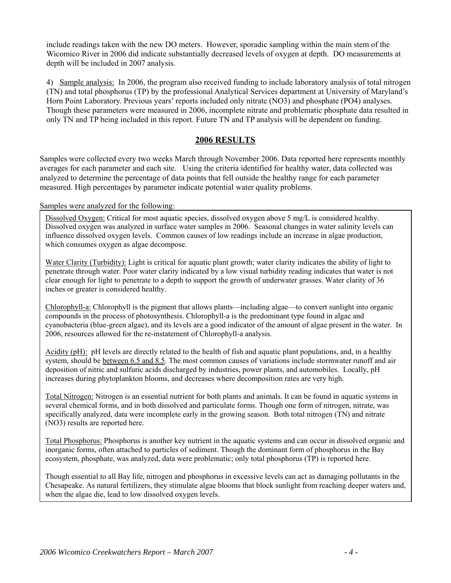include readings taken with the new DO meters. However, sporadic sampling within the main stem of the Wicomico River in 2006 did indicate substantially decreased levels of oxygen at depth. DO measurements at depth will be included in 2007 analysis.

4) Sample analysis: In 2006, the program also received funding to include laboratory analysis of total nitrogen (TN) and total phosphorus (TP) by the professional Analytical Services department at University of Maryland's Horn Point Laboratory. Previous years' reports included only nitrate (NO3) and phosphate (PO4) analyses. Though these parameters were measured in 2006, incomplete nitrate and problematic phosphate data resulted in only TN and TP being included in this report. Future TN and TP analysis will be dependent on funding.

# **2006 RESULTS**

Samples were collected every two weeks March through November 2006. Data reported here represents monthly averages for each parameter and each site. Using the criteria identified for healthy water, data collected was analyzed to determine the percentage of data points that fell outside the healthy range for each parameter measured. High percentages by parameter indicate potential water quality problems.

#### Samples were analyzed for the following:

Dissolved Oxygen: Critical for most aquatic species, dissolved oxygen above 5 mg/L is considered healthy. Dissolved oxygen was analyzed in surface water samples in 2006. Seasonal changes in water salinity levels can influence dissolved oxygen levels. Common causes of low readings include an increase in algae production, which consumes oxygen as algae decompose.

Water Clarity (Turbidity): Light is critical for aquatic plant growth; water clarity indicates the ability of light to penetrate through water. Poor water clarity indicated by a low visual turbidity reading indicates that water is not clear enough for light to penetrate to a depth to support the growth of underwater grasses. Water clarity of 36 inches or greater is considered healthy.

Chlorophyll-a: Chlorophyll is the pigment that allows plants—including algae—to convert sunlight into organic compounds in the process of photosynthesis. Chlorophyll-a is the predominant type found in algae and cyanobacteria (blue-green algae), and its levels are a good indicator of the amount of algae present in the water. In 2006, resources allowed for the re-instatement of Chlorophyll-a analysis.

Acidity (pH): pH levels are directly related to the health of fish and aquatic plant populations, and, in a healthy system, should be between 6.5 and 8.5. The most common causes of variations include stormwater runoff and air deposition of nitric and sulfuric acids discharged by industries, power plants, and automobiles. Locally, pH increases during phytoplankton blooms, and decreases where decomposition rates are very high.

Total Nitrogen: Nitrogen is an essential nutrient for both plants and animals. It can be found in aquatic systems in several chemical forms, and in both dissolved and particulate forms. Though one form of nitrogen, nitrate, was specifically analyzed, data were incomplete early in the growing season. Both total nitrogen (TN) and nitrate (NO3) results are reported here.

Total Phosphorus: Phosphorus is another key nutrient in the aquatic systems and can occur in dissolved organic and inorganic forms, often attached to particles of sediment. Though the dominant form of phosphorus in the Bay ecosystem, phosphate, was analyzed, data were problematic; only total phosphorus (TP) is reported here.

Though essential to all Bay life, nitrogen and phosphorus in excessive levels can act as damaging pollutants in the Chesapeake. As natural fertilizers, they stimulate algae blooms that block sunlight from reaching deeper waters and, when the algae die, lead to low dissolved oxygen levels.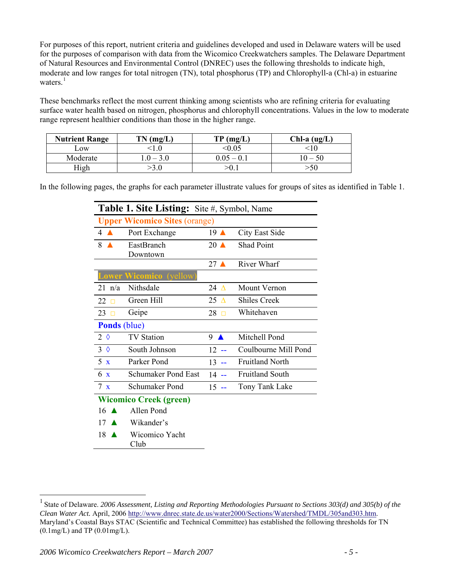For purposes of this report, nutrient criteria and guidelines developed and used in Delaware waters will be used for the purposes of comparison with data from the Wicomico Creekwatchers samples. The Delaware Department of Natural Resources and Environmental Control (DNREC) uses the following thresholds to indicate high, moderate and low ranges for total nitrogen (TN), total phosphorus (TP) and Chlorophyll-a (Chl-a) in estuarine waters. $<sup>1</sup>$  $<sup>1</sup>$  $<sup>1</sup>$ </sup>

These benchmarks reflect the most current thinking among scientists who are refining criteria for evaluating surface water health based on nitrogen, phosphorus and chlorophyll concentrations. Values in the low to moderate range represent healthier conditions than those in the higher range.

| <b>Nutrient Range</b> | $TN$ (mg/L) | TP(mg/L)     | $Chl-a (ug/L)$ |
|-----------------------|-------------|--------------|----------------|
| LOW                   |             |              |                |
| Moderate              | $0 - 3.0$   | $0.05 - 0.1$ | $0 - 50$       |
| <b>light</b>          |             |              |                |

In the following pages, the graphs for each parameter illustrate values for groups of sites as identified in Table 1.

|                     | <b>Table 1. Site Listing:</b> Site #, Symbol, Name |                  |                        |
|---------------------|----------------------------------------------------|------------------|------------------------|
|                     | <b>Upper Wicomico Sites (orange)</b>               |                  |                        |
| 4                   | Port Exchange                                      | $19$ $\triangle$ | City East Side         |
| 8                   | EastBranch                                         | $20$ $\triangle$ | <b>Shad Point</b>      |
|                     | Downtown                                           |                  |                        |
|                     |                                                    | $27 \triangle$   | <b>River Wharf</b>     |
|                     | <b>Lower Wicomico</b> (yellow)                     |                  |                        |
| $21 \text{ n/a}$    | Nithsdale                                          | 24 $\Lambda$     | <b>Mount Vernon</b>    |
| 22<br>п             | Green Hill                                         | 25<br>$\Lambda$  | <b>Shiles Creek</b>    |
| 23<br>П             | Geipe                                              | 28               | Whitehaven             |
| <b>Ponds</b> (blue) |                                                    |                  |                        |
| $2 \Diamond$        | <b>TV Station</b>                                  | 9                | Mitchell Pond          |
| $3 \Diamond$        | South Johnson                                      | 12               | Coulbourne Mill Pond   |
| 5x                  | Parker Pond                                        | 13               | <b>Fruitland North</b> |
| 6 x                 | Schumaker Pond East                                | $14 -$           | <b>Fruitland South</b> |
| $7 \times$          | Schumaker Pond                                     | $15 -$           | Tony Tank Lake         |
|                     | <b>Wicomico Creek (green)</b>                      |                  |                        |
| 16                  | Allen Pond                                         |                  |                        |
| 17                  | Wikander's                                         |                  |                        |

<sup>18</sup> ▲ Wicomico Yacht Club

 $\overline{a}$ 

<span id="page-4-0"></span><sup>1</sup> State of Delaware. *2006 Assessment, Listing and Reporting Methodologies Pursuant to Sections 303(d) and 305(b) of the Clean Water Act.* April, 2006 [http://www.dnrec.state.de.us/water2000/Sections/Watershed/TMDL/305and303.htm.](http://www.dnrec.state.de.us/water2000/Sections/Watershed/TMDL/305and303.htm) Maryland's Coastal Bays STAC (Scientific and Technical Committee) has established the following thresholds for TN  $(0.1 \text{mg/L})$  and TP  $(0.01 \text{mg/L})$ .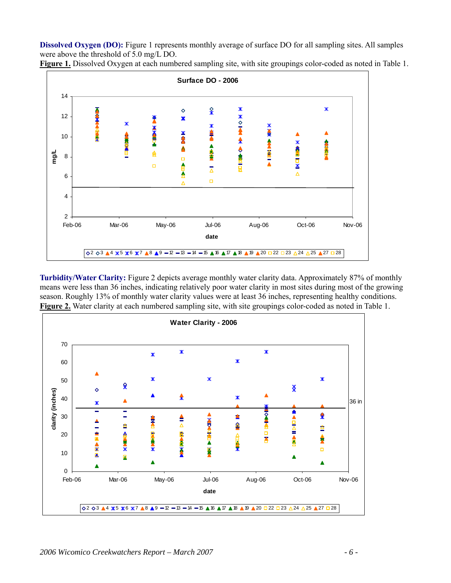**Dissolved Oxygen (DO):** Figure 1 represents monthly average of surface DO for all sampling sites. All samples were above the threshold of 5.0 mg/L DO.



**Figure 1.** Dissolved Oxygen at each numbered sampling site, with site groupings color-coded as noted in Table 1.

**Turbidity/Water Clarity:** Figure 2 depicts average monthly water clarity data. Approximately 87% of monthly means were less than 36 inches, indicating relatively poor water clarity in most sites during most of the growing season. Roughly 13% of monthly water clarity values were at least 36 inches, representing healthy conditions. **Figure 2.** Water clarity at each numbered sampling site, with site groupings color-coded as noted in Table 1.

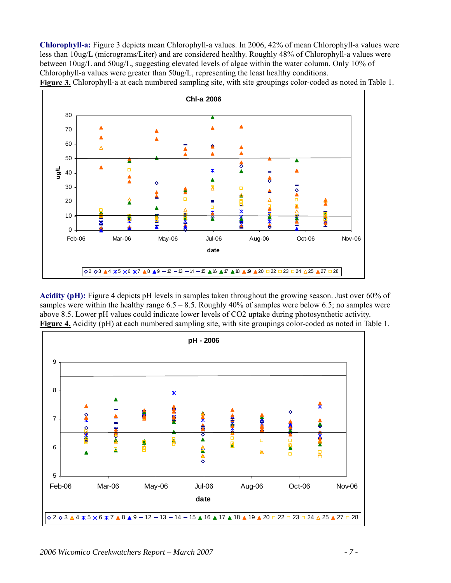**Chlorophyll-a:** Figure 3 depicts mean Chlorophyll-a values. In 2006, 42% of mean Chlorophyll-a values were less than 10ug/L (micrograms/Liter) and are considered healthy. Roughly 48% of Chlorophyll-a values were between 10ug/L and 50ug/L, suggesting elevated levels of algae within the water column. Only 10% of Chlorophyll-a values were greater than 50ug/L, representing the least healthy conditions. **Figure 3.** Chlorophyll-a at each numbered sampling site, with site groupings color-coded as noted in Table 1.



**Acidity (pH):** Figure 4 depicts pH levels in samples taken throughout the growing season. Just over 60% of samples were within the healthy range  $6.5 - 8.5$ . Roughly 40% of samples were below 6.5; no samples were above 8.5. Lower pH values could indicate lower levels of CO2 uptake during photosynthetic activity. **Figure 4.** Acidity (pH) at each numbered sampling site, with site groupings color-coded as noted in Table 1.

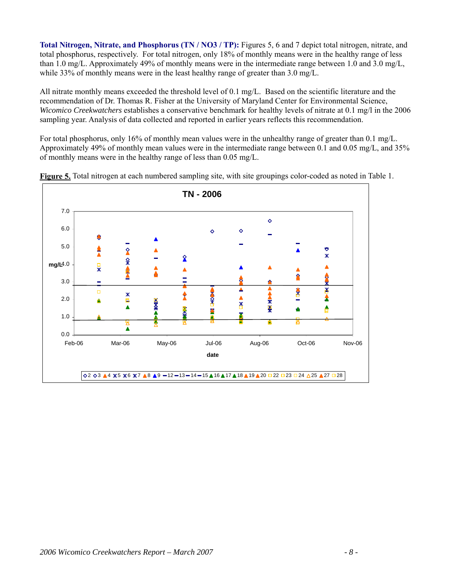**Total Nitrogen, Nitrate, and Phosphorus (TN / NO3 / TP):** Figures 5, 6 and 7 depict total nitrogen, nitrate, and total phosphorus, respectively. For total nitrogen, only 18% of monthly means were in the healthy range of less than 1.0 mg/L. Approximately 49% of monthly means were in the intermediate range between 1.0 and 3.0 mg/L, while 33% of monthly means were in the least healthy range of greater than 3.0 mg/L.

All nitrate monthly means exceeded the threshold level of 0.1 mg/L. Based on the scientific literature and the recommendation of Dr. Thomas R. Fisher at the University of Maryland Center for Environmental Science, *Wicomico Creekwatchers* establishes a conservative benchmark for healthy levels of nitrate at 0.1 mg/l in the 2006 sampling year. Analysis of data collected and reported in earlier years reflects this recommendation.

For total phosphorus, only 16% of monthly mean values were in the unhealthy range of greater than 0.1 mg/L. Approximately 49% of monthly mean values were in the intermediate range between 0.1 and 0.05 mg/L, and 35% of monthly means were in the healthy range of less than 0.05 mg/L.



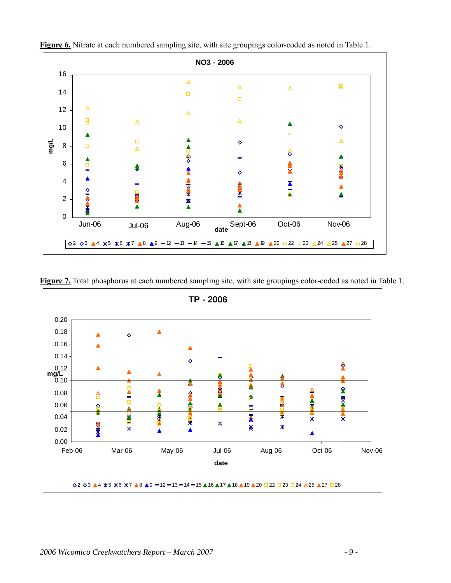

**Figure 6.** Nitrate at each numbered sampling site, with site groupings color-coded as noted in Table 1.

**Figure 7.** Total phosphorus at each numbered sampling site, with site groupings color-coded as noted in Table 1.

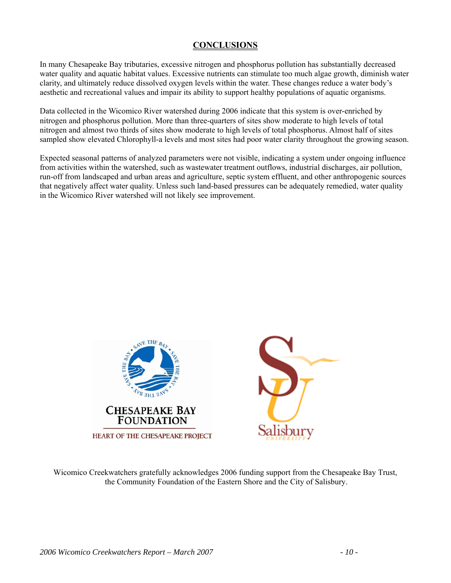# **CONCLUSIONS**

In many Chesapeake Bay tributaries, excessive nitrogen and phosphorus pollution has substantially decreased water quality and aquatic habitat values. Excessive nutrients can stimulate too much algae growth, diminish water clarity, and ultimately reduce dissolved oxygen levels within the water. These changes reduce a water body's aesthetic and recreational values and impair its ability to support healthy populations of aquatic organisms.

Data collected in the Wicomico River watershed during 2006 indicate that this system is over-enriched by nitrogen and phosphorus pollution. More than three-quarters of sites show moderate to high levels of total nitrogen and almost two thirds of sites show moderate to high levels of total phosphorus. Almost half of sites sampled show elevated Chlorophyll-a levels and most sites had poor water clarity throughout the growing season.

Expected seasonal patterns of analyzed parameters were not visible, indicating a system under ongoing influence from activities within the watershed, such as wastewater treatment outflows, industrial discharges, air pollution, run-off from landscaped and urban areas and agriculture, septic system effluent, and other anthropogenic sources that negatively affect water quality. Unless such land-based pressures can be adequately remedied, water quality in the Wicomico River watershed will not likely see improvement.



Wicomico Creekwatchers gratefully acknowledges 2006 funding support from the Chesapeake Bay Trust, the Community Foundation of the Eastern Shore and the City of Salisbury.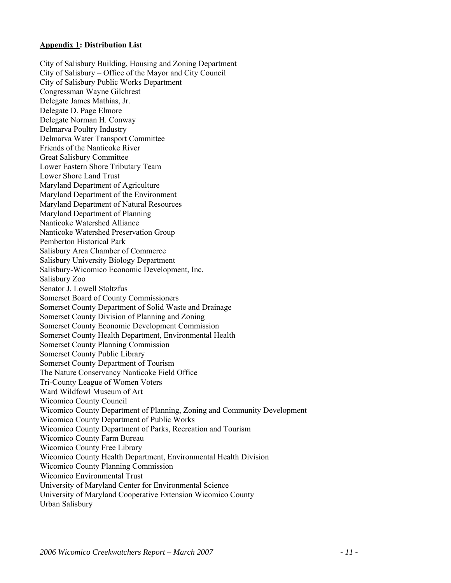#### **Appendix 1: Distribution List**

City of Salisbury Building, Housing and Zoning Department City of Salisbury – Office of the Mayor and City Council City of Salisbury Public Works Department Congressman Wayne Gilchrest Delegate James Mathias, Jr. Delegate D. Page Elmore Delegate Norman H. Conway Delmarva Poultry Industry Delmarva Water Transport Committee Friends of the Nanticoke River Great Salisbury Committee Lower Eastern Shore Tributary Team Lower Shore Land Trust Maryland Department of Agriculture Maryland Department of the Environment Maryland Department of Natural Resources Maryland Department of Planning Nanticoke Watershed Alliance Nanticoke Watershed Preservation Group Pemberton Historical Park Salisbury Area Chamber of Commerce Salisbury University Biology Department Salisbury-Wicomico Economic Development, Inc. Salisbury Zoo Senator J. Lowell Stoltzfus Somerset Board of County Commissioners Somerset County Department of Solid Waste and Drainage Somerset County Division of Planning and Zoning Somerset County Economic Development Commission Somerset County Health Department, Environmental Health Somerset County Planning Commission Somerset County Public Library Somerset County Department of Tourism The Nature Conservancy Nanticoke Field Office Tri-County League of Women Voters Ward Wildfowl Museum of Art Wicomico County Council Wicomico County Department of Planning, Zoning and Community Development Wicomico County Department of Public Works Wicomico County Department of Parks, Recreation and Tourism Wicomico County Farm Bureau Wicomico County Free Library Wicomico County Health Department, Environmental Health Division Wicomico County Planning Commission Wicomico Environmental Trust University of Maryland Center for Environmental Science University of Maryland Cooperative Extension Wicomico County Urban Salisbury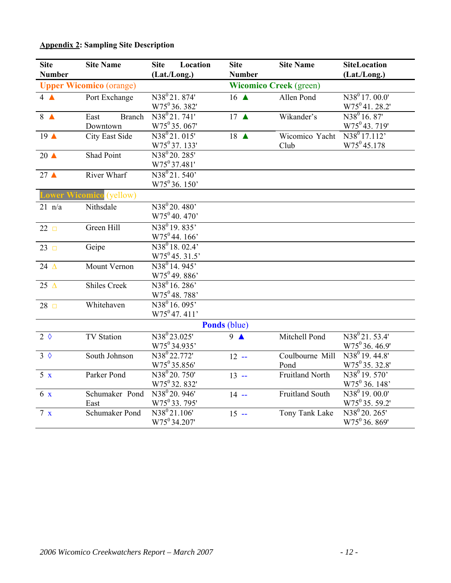# **Appendix 2: Sampling Site Description**

| <b>Site</b><br><b>Number</b> | <b>Site Name</b>                  | <b>Site</b><br>Location<br>(Lat./Long.)                                       | <b>Site</b><br><b>Number</b>    | <b>Site Name</b>              | <b>SiteLocation</b><br>(Lat./Long.)                  |
|------------------------------|-----------------------------------|-------------------------------------------------------------------------------|---------------------------------|-------------------------------|------------------------------------------------------|
|                              | <b>Upper Wicomico (orange)</b>    |                                                                               |                                 | <b>Wicomico Creek (green)</b> |                                                      |
| $4\triangle$                 | Port Exchange                     | N38 <sup>0</sup> 21.874'<br>$W75^036.382'$                                    | $16 \triangle$                  | Allen Pond                    | $N38^0$ 17. 00.0'<br>$W75^041.28.2'$                 |
| 8 <sub>4</sub>               | East<br><b>Branch</b><br>Downtown | N <sub>38</sub> <sup>0</sup> 2 <sub>1</sub> .741'<br>W75 <sup>0</sup> 35.067' | 17 $\triangle$                  | Wikander's                    | N38 <sup>0</sup> 16.87'<br>W75 <sup>0</sup> 43.719'  |
| $19^$                        | <b>City East Side</b>             | N38 <sup>0</sup> 21.015'<br>$W75^{0}37.133'$                                  | $18$ $\triangle$                | Wicomico Yacht<br>Club        | N38 <sup>0</sup> 17.112'<br>$W75^045.178$            |
| $20 \triangle$               | Shad Point                        | N38 <sup>0</sup> 20.285'<br>W75 <sup>0</sup> 37.481'                          |                                 |                               |                                                      |
| 27 <sub>4</sub>              | River Wharf                       | N38 <sup>0</sup> 21.540'<br>W75 <sup>0</sup> 36.150'                          |                                 |                               |                                                      |
| <b>Lower</b> '               | <b>Wicomico</b> (yellow)          |                                                                               |                                 |                               |                                                      |
| $21$ n/a                     | Nithsdale                         | $N38^{0}20.480'$<br>$W75^040.470'$                                            |                                 |                               |                                                      |
| $22$ $\Box$                  | Green Hill                        | N38 <sup>0</sup> 19.835'<br>W75 <sup>0</sup> 44.166'                          |                                 |                               |                                                      |
| $23$ $\Box$                  | Geipe                             | $N38^0 18.02.4'$<br>$W75^045.31.5'$                                           |                                 |                               |                                                      |
| 24 $\triangle$               | Mount Vernon                      | N38 <sup>0</sup> 14.945'<br>$W75^{0}49.886'$                                  |                                 |                               |                                                      |
| 25 $\triangle$               | <b>Shiles Creek</b>               | N38 <sup>0</sup> 16.286'<br>W75 <sup>0</sup> 48.788'                          |                                 |                               |                                                      |
| $28$ $\Box$                  | Whitehaven                        | $N38^0 16.095'$<br>W75 <sup>0</sup> 47.411'                                   |                                 |                               |                                                      |
|                              |                                   |                                                                               | Ponds (blue)                    |                               |                                                      |
| $2 \theta$                   | <b>TV Station</b>                 | N38 <sup>0</sup> 23.025'<br>W75 <sup>0</sup> 34.935'                          | $\overline{9}$ $\blacktriangle$ | Mitchell Pond                 | $N38^{0}21.53.4'$<br>W75 <sup>0</sup> 36.46.9'       |
| $3 \Diamond$                 | South Johnson                     | N38 <sup>0</sup> 22.772'<br>$W75^{0}35.856'$                                  | $12 -$                          | Coulbourne Mill<br>Pond       | $N38^{0}$ 19. 44.8'<br>$W75^0$ 35. 32.8'             |
| 5 x                          | Parker Pond                       | $N38^{0}$ 20. 750'<br>W75 <sup>0</sup> 32.832'                                | $13 -$                          | <b>Fruitland North</b>        | $N38^{0}19.570'$<br>W75 <sup>0</sup> 36. 148'        |
| 6x                           | Schumaker Pond<br>East            | N38 <sup>0</sup> 20.946'<br>W75 <sup>0</sup> 33.795'                          | $14 -$                          | <b>Fruitland South</b>        | $N38^0 19.000'$<br>W75 <sup>0</sup> 35.59.2          |
| 7 x                          | Schumaker Pond                    | N38 <sup>0</sup> 21.106'<br>W75 <sup>0</sup> 34.207                           | $15 -$                          | Tony Tank Lake                | N38 <sup>0</sup> 20.265'<br>W75 <sup>0</sup> 36.869' |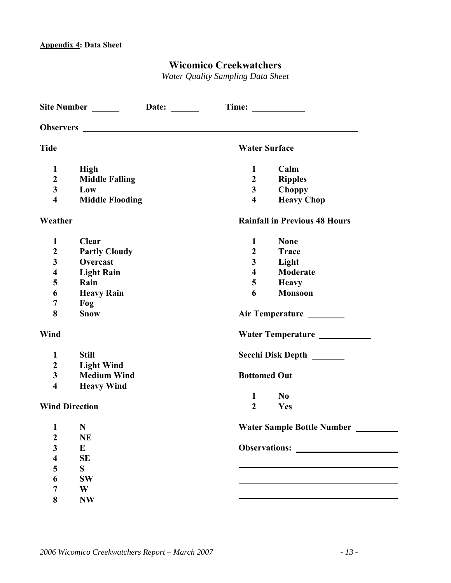# **Wicomico Creekwatchers**

*Water Quality Sampling Data Sheet* 

|                         | Site Number ______________Date: _______ |                                              |
|-------------------------|-----------------------------------------|----------------------------------------------|
|                         |                                         |                                              |
| <b>Tide</b>             |                                         | <b>Water Surface</b>                         |
| $\mathbf{1}$            | <b>High</b>                             | $\mathbf{1}$<br>Calm                         |
| $\boldsymbol{2}$        | <b>Middle Falling</b>                   | $\boldsymbol{2}$<br><b>Ripples</b>           |
| $\mathbf{3}$            | Low                                     | $\mathbf{3}$<br><b>Choppy</b>                |
| $\overline{\mathbf{4}}$ | <b>Middle Flooding</b>                  | $\overline{\mathbf{4}}$<br><b>Heavy Chop</b> |
| Weather                 |                                         | <b>Rainfall in Previous 48 Hours</b>         |
| $\mathbf{1}$            | <b>Clear</b>                            | $\mathbf{1}$<br><b>None</b>                  |
| $\boldsymbol{2}$        | <b>Partly Cloudy</b>                    | $\boldsymbol{2}$<br><b>Trace</b>             |
| 3                       | Overcast                                | $\mathbf{3}$<br>Light                        |
| $\overline{\mathbf{4}}$ | <b>Light Rain</b>                       | Moderate<br>$\overline{\mathbf{4}}$          |
| 5                       | Rain                                    | 5<br><b>Heavy</b>                            |
| 6                       | <b>Heavy Rain</b>                       | 6<br><b>Monsoon</b>                          |
| 7                       | Fog                                     |                                              |
| 8                       | <b>Snow</b>                             |                                              |
| Wind                    |                                         | Water Temperature __________                 |
| $\mathbf{1}$            | <b>Still</b>                            | Secchi Disk Depth _______                    |
| $\boldsymbol{2}$        | <b>Light Wind</b>                       |                                              |
| $\overline{\mathbf{3}}$ | <b>Medium Wind</b>                      | <b>Bottomed Out</b>                          |
| $\overline{\mathbf{4}}$ | <b>Heavy Wind</b>                       |                                              |
|                         |                                         | $\mathbf{1}$<br>N <sub>0</sub>               |
| <b>Wind Direction</b>   |                                         | $\boldsymbol{2}$<br>Yes                      |
| 1 N                     |                                         | Water Sample Bottle Number                   |
| $\boldsymbol{2}$        | <b>NE</b>                               |                                              |
| $\overline{\mathbf{3}}$ | E                                       |                                              |
| $\boldsymbol{4}$        | SE                                      |                                              |
| 5                       | S.                                      |                                              |
| 6                       | <b>SW</b>                               |                                              |
| 7                       | W                                       |                                              |
| 8                       | <b>NW</b>                               |                                              |